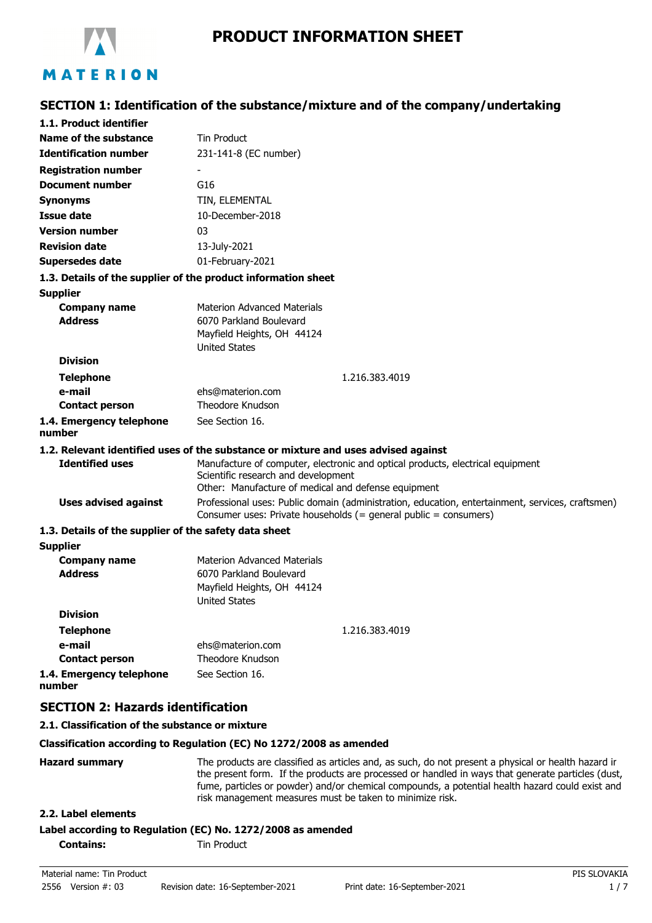

# **SECTION 1: Identification of the substance/mixture and of the company/undertaking**

| 1.1. Product identifier                               |                                                                                                                                                                                                                                                                                                             |
|-------------------------------------------------------|-------------------------------------------------------------------------------------------------------------------------------------------------------------------------------------------------------------------------------------------------------------------------------------------------------------|
| Name of the substance                                 | <b>Tin Product</b>                                                                                                                                                                                                                                                                                          |
| <b>Identification number</b>                          | 231-141-8 (EC number)                                                                                                                                                                                                                                                                                       |
| <b>Registration number</b>                            |                                                                                                                                                                                                                                                                                                             |
| <b>Document number</b>                                | G16                                                                                                                                                                                                                                                                                                         |
| <b>Synonyms</b>                                       | TIN, ELEMENTAL                                                                                                                                                                                                                                                                                              |
| Issue date                                            | 10-December-2018                                                                                                                                                                                                                                                                                            |
| <b>Version number</b>                                 | 03                                                                                                                                                                                                                                                                                                          |
| <b>Revision date</b>                                  | 13-July-2021                                                                                                                                                                                                                                                                                                |
| <b>Supersedes date</b>                                | 01-February-2021                                                                                                                                                                                                                                                                                            |
|                                                       | 1.3. Details of the supplier of the product information sheet                                                                                                                                                                                                                                               |
| <b>Supplier</b>                                       |                                                                                                                                                                                                                                                                                                             |
| <b>Company name</b>                                   | <b>Materion Advanced Materials</b>                                                                                                                                                                                                                                                                          |
| <b>Address</b>                                        | 6070 Parkland Boulevard                                                                                                                                                                                                                                                                                     |
|                                                       | Mayfield Heights, OH 44124<br><b>United States</b>                                                                                                                                                                                                                                                          |
| <b>Division</b>                                       |                                                                                                                                                                                                                                                                                                             |
| <b>Telephone</b>                                      | 1.216.383.4019                                                                                                                                                                                                                                                                                              |
| e-mail                                                | ehs@materion.com                                                                                                                                                                                                                                                                                            |
| <b>Contact person</b>                                 | <b>Theodore Knudson</b>                                                                                                                                                                                                                                                                                     |
| 1.4. Emergency telephone<br>number                    | See Section 16.                                                                                                                                                                                                                                                                                             |
|                                                       | 1.2. Relevant identified uses of the substance or mixture and uses advised against                                                                                                                                                                                                                          |
| <b>Identified uses</b>                                | Manufacture of computer, electronic and optical products, electrical equipment<br>Scientific research and development<br>Other: Manufacture of medical and defense equipment                                                                                                                                |
| <b>Uses advised against</b>                           | Professional uses: Public domain (administration, education, entertainment, services, craftsmen)<br>Consumer uses: Private households (= general public = consumers)                                                                                                                                        |
| 1.3. Details of the supplier of the safety data sheet |                                                                                                                                                                                                                                                                                                             |
| <b>Supplier</b>                                       |                                                                                                                                                                                                                                                                                                             |
| <b>Company name</b>                                   | <b>Materion Advanced Materials</b>                                                                                                                                                                                                                                                                          |
| <b>Address</b>                                        | 6070 Parkland Boulevard                                                                                                                                                                                                                                                                                     |
|                                                       | Mayfield Heights, OH 44124<br>United States                                                                                                                                                                                                                                                                 |
| <b>Division</b>                                       |                                                                                                                                                                                                                                                                                                             |
| <b>Telephone</b>                                      | 1.216.383.4019                                                                                                                                                                                                                                                                                              |
| e-mail                                                | ehs@materion.com                                                                                                                                                                                                                                                                                            |
| <b>Contact person</b>                                 | <b>Theodore Knudson</b>                                                                                                                                                                                                                                                                                     |
| 1.4. Emergency telephone<br>number                    | See Section 16.                                                                                                                                                                                                                                                                                             |
| <b>SECTION 2: Hazards identification</b>              |                                                                                                                                                                                                                                                                                                             |
| 2.1. Classification of the substance or mixture       |                                                                                                                                                                                                                                                                                                             |
|                                                       | Classification according to Regulation (EC) No 1272/2008 as amended                                                                                                                                                                                                                                         |
| <b>Hazard summary</b>                                 | The products are classified as articles and, as such, do not present a physical or health hazard ir<br>the present form. If the products are processed or handled in ways that generate particles (dust,<br>fume, particles or powder) and/or chemical compounds, a potential health hazard could exist and |

risk management measures must be taken to minimize risk.

## **2.2. Label elements**

## **Label according to Regulation (EC) No. 1272/2008 as amended**

**Contains:** Tin Product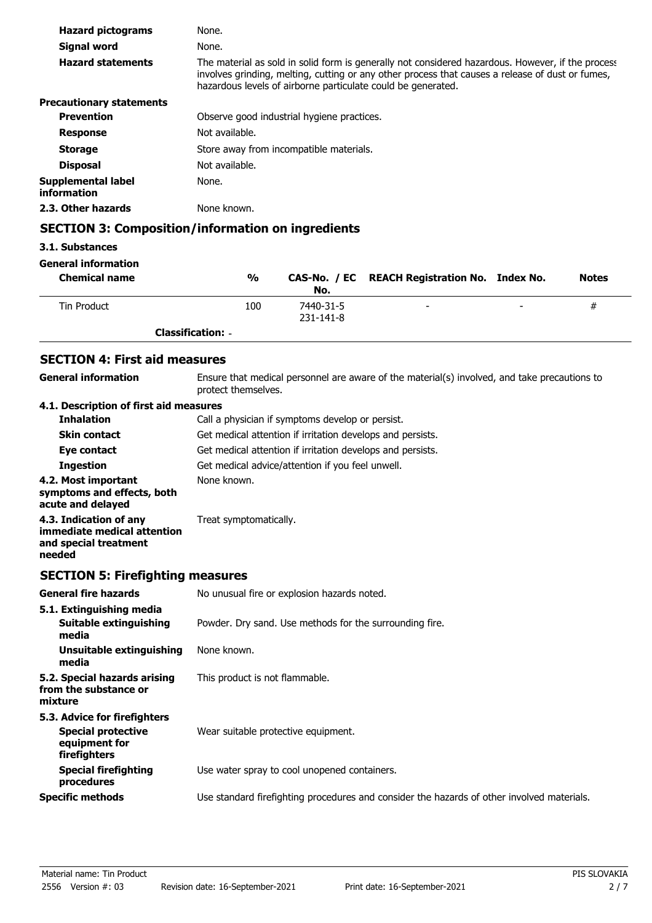| <b>Hazard pictograms</b>          | None.                                                                                                                                                                                                                                                                 |
|-----------------------------------|-----------------------------------------------------------------------------------------------------------------------------------------------------------------------------------------------------------------------------------------------------------------------|
| Signal word                       | None.                                                                                                                                                                                                                                                                 |
| <b>Hazard statements</b>          | The material as sold in solid form is generally not considered hazardous. However, if the process<br>involves grinding, melting, cutting or any other process that causes a release of dust or fumes,<br>hazardous levels of airborne particulate could be generated. |
| <b>Precautionary statements</b>   |                                                                                                                                                                                                                                                                       |
| <b>Prevention</b>                 | Observe good industrial hygiene practices.                                                                                                                                                                                                                            |
| <b>Response</b>                   | Not available.                                                                                                                                                                                                                                                        |
| <b>Storage</b>                    | Store away from incompatible materials.                                                                                                                                                                                                                               |
| <b>Disposal</b>                   | Not available.                                                                                                                                                                                                                                                        |
| Supplemental label<br>information | None.                                                                                                                                                                                                                                                                 |
| 2.3. Other hazards                | None known.                                                                                                                                                                                                                                                           |

## **SECTION 3: Composition/information on ingredients**

## **3.1. Substances**

### **General information**

| <b>Chemical name</b> | %                        | No.                          | CAS-No. / EC REACH Registration No. Index No. |                          | <b>Notes</b> |
|----------------------|--------------------------|------------------------------|-----------------------------------------------|--------------------------|--------------|
| Tin Product          | 100                      | 7440-31-5<br>$231 - 141 - 8$ | $\overline{\phantom{a}}$                      | $\overline{\phantom{a}}$ | #            |
|                      | <b>Classification: -</b> |                              |                                               |                          |              |

# **SECTION 4: First aid measures**

Ensure that medical personnel are aware of the material(s) involved, and take precautions to protect themselves. **General information**

### **4.1. Description of first aid measures**

| <b>Inhalation</b>                                                      | Call a physician if symptoms develop or persist.           |
|------------------------------------------------------------------------|------------------------------------------------------------|
| <b>Skin contact</b>                                                    | Get medical attention if irritation develops and persists. |
| Eye contact                                                            | Get medical attention if irritation develops and persists. |
| <b>Ingestion</b>                                                       | Get medical advice/attention if you feel unwell.           |
| 4.2. Most important<br>symptoms and effects, both<br>acute and delayed | None known.                                                |
| 4.3. Indication of any<br>immediate medical attention                  | Treat symptomatically.                                     |

# **SECTION 5: Firefighting measures**

**and special treatment**

**needed**

| <b>General fire hazards</b>                                                                | No unusual fire or explosion hazards noted.                                                |
|--------------------------------------------------------------------------------------------|--------------------------------------------------------------------------------------------|
| 5.1. Extinguishing media<br>Suitable extinguishing<br>media                                | Powder. Dry sand. Use methods for the surrounding fire.                                    |
| Unsuitable extinguishing<br>media                                                          | None known.                                                                                |
| 5.2. Special hazards arising<br>from the substance or<br>mixture                           | This product is not flammable.                                                             |
| 5.3. Advice for firefighters<br><b>Special protective</b><br>equipment for<br>firefighters | Wear suitable protective equipment.                                                        |
| <b>Special firefighting</b><br>procedures                                                  | Use water spray to cool unopened containers.                                               |
| <b>Specific methods</b>                                                                    | Use standard firefighting procedures and consider the hazards of other involved materials. |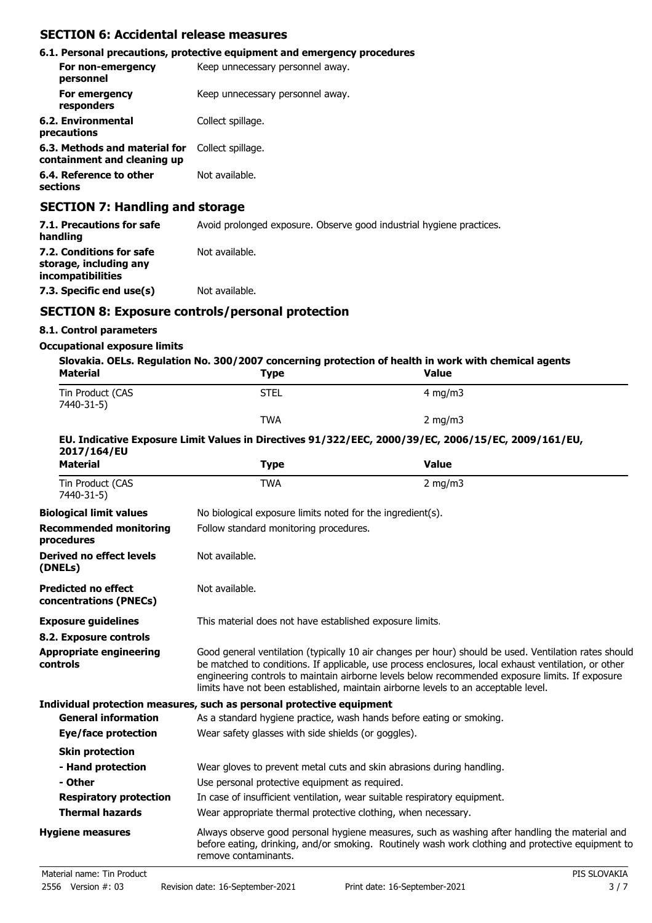## **SECTION 6: Accidental release measures**

|                                                              | 6.1. Personal precautions, protective equipment and emergency procedures |
|--------------------------------------------------------------|--------------------------------------------------------------------------|
| For non-emergency<br>personnel                               | Keep unnecessary personnel away.                                         |
| For emergency<br>responders                                  | Keep unnecessary personnel away.                                         |
| 6.2. Environmental<br>precautions                            | Collect spillage.                                                        |
| 6.3. Methods and material for<br>containment and cleaning up | Collect spillage.                                                        |
| 6.4. Reference to other<br>sections                          | Not available.                                                           |
|                                                              |                                                                          |

## **SECTION 7: Handling and storage**

| 7.1. Precautions for safe<br>handling                                   | Avoid prolonged exposure. Observe good industrial hygiene practices. |
|-------------------------------------------------------------------------|----------------------------------------------------------------------|
| 7.2. Conditions for safe<br>storage, including any<br>incompatibilities | Not available.                                                       |
| 7.3. Specific end use(s)                                                | Not available.                                                       |

# **SECTION 8: Exposure controls/personal protection**

## **8.1. Control parameters**

### **Occupational exposure limits**

| Slovakia. OELs. Regulation No. 300/2007 concerning protection of health in work with chemical agents<br><b>Material</b><br><b>Value</b><br>Type |      |                  |
|-------------------------------------------------------------------------------------------------------------------------------------------------|------|------------------|
| Tin Product (CAS<br>7440-31-5)                                                                                                                  | STEL | $4 \text{ mg/m}$ |
|                                                                                                                                                 | TWA  | $2 \text{ mg/m}$ |
| EU, Indiastive Evanguar Linit Values in Binestines 04 (222 (EEC, 2000 (20 (EC, 2006 (4E (EC, 2000 (464 (EU)                                     |      |                  |

### **EU. Indicative Exposure Limit Values in Directives 91/322/EEC, 2000/39/EC, 2006/15/EC, 2009/161/EU, 2017/164/EU**

| <b>Material</b>                                      | <b>Type</b>                                                                                                                                                                                                                                                                                                                                                                                            | <b>Value</b>                                                                                                                                                                                        |  |
|------------------------------------------------------|--------------------------------------------------------------------------------------------------------------------------------------------------------------------------------------------------------------------------------------------------------------------------------------------------------------------------------------------------------------------------------------------------------|-----------------------------------------------------------------------------------------------------------------------------------------------------------------------------------------------------|--|
| Tin Product (CAS<br>7440-31-5)                       | <b>TWA</b>                                                                                                                                                                                                                                                                                                                                                                                             | $2$ mg/m $3$                                                                                                                                                                                        |  |
| <b>Biological limit values</b>                       | No biological exposure limits noted for the ingredient(s).                                                                                                                                                                                                                                                                                                                                             |                                                                                                                                                                                                     |  |
| <b>Recommended monitoring</b><br>procedures          | Follow standard monitoring procedures.                                                                                                                                                                                                                                                                                                                                                                 |                                                                                                                                                                                                     |  |
| Derived no effect levels<br>(DNELs)                  | Not available.                                                                                                                                                                                                                                                                                                                                                                                         |                                                                                                                                                                                                     |  |
| <b>Predicted no effect</b><br>concentrations (PNECs) | Not available.                                                                                                                                                                                                                                                                                                                                                                                         |                                                                                                                                                                                                     |  |
| <b>Exposure guidelines</b>                           | This material does not have established exposure limits.                                                                                                                                                                                                                                                                                                                                               |                                                                                                                                                                                                     |  |
| 8.2. Exposure controls                               |                                                                                                                                                                                                                                                                                                                                                                                                        |                                                                                                                                                                                                     |  |
| <b>Appropriate engineering</b><br>controls           | Good general ventilation (typically 10 air changes per hour) should be used. Ventilation rates should<br>be matched to conditions. If applicable, use process enclosures, local exhaust ventilation, or other<br>engineering controls to maintain airborne levels below recommended exposure limits. If exposure<br>limits have not been established, maintain airborne levels to an acceptable level. |                                                                                                                                                                                                     |  |
|                                                      | Individual protection measures, such as personal protective equipment                                                                                                                                                                                                                                                                                                                                  |                                                                                                                                                                                                     |  |
| <b>General information</b>                           | As a standard hygiene practice, wash hands before eating or smoking.                                                                                                                                                                                                                                                                                                                                   |                                                                                                                                                                                                     |  |
| Eye/face protection                                  | Wear safety glasses with side shields (or goggles).                                                                                                                                                                                                                                                                                                                                                    |                                                                                                                                                                                                     |  |
| <b>Skin protection</b>                               |                                                                                                                                                                                                                                                                                                                                                                                                        |                                                                                                                                                                                                     |  |
| - Hand protection                                    |                                                                                                                                                                                                                                                                                                                                                                                                        | Wear gloves to prevent metal cuts and skin abrasions during handling.                                                                                                                               |  |
| - Other                                              | Use personal protective equipment as required.                                                                                                                                                                                                                                                                                                                                                         |                                                                                                                                                                                                     |  |
| <b>Respiratory protection</b>                        |                                                                                                                                                                                                                                                                                                                                                                                                        | In case of insufficient ventilation, wear suitable respiratory equipment.                                                                                                                           |  |
| <b>Thermal hazards</b>                               | Wear appropriate thermal protective clothing, when necessary.                                                                                                                                                                                                                                                                                                                                          |                                                                                                                                                                                                     |  |
| <b>Hygiene measures</b>                              | remove contaminants.                                                                                                                                                                                                                                                                                                                                                                                   | Always observe good personal hygiene measures, such as washing after handling the material and<br>before eating, drinking, and/or smoking. Routinely wash work clothing and protective equipment to |  |
| Material name: Tin Product                           |                                                                                                                                                                                                                                                                                                                                                                                                        | PIS SLOVAKIA                                                                                                                                                                                        |  |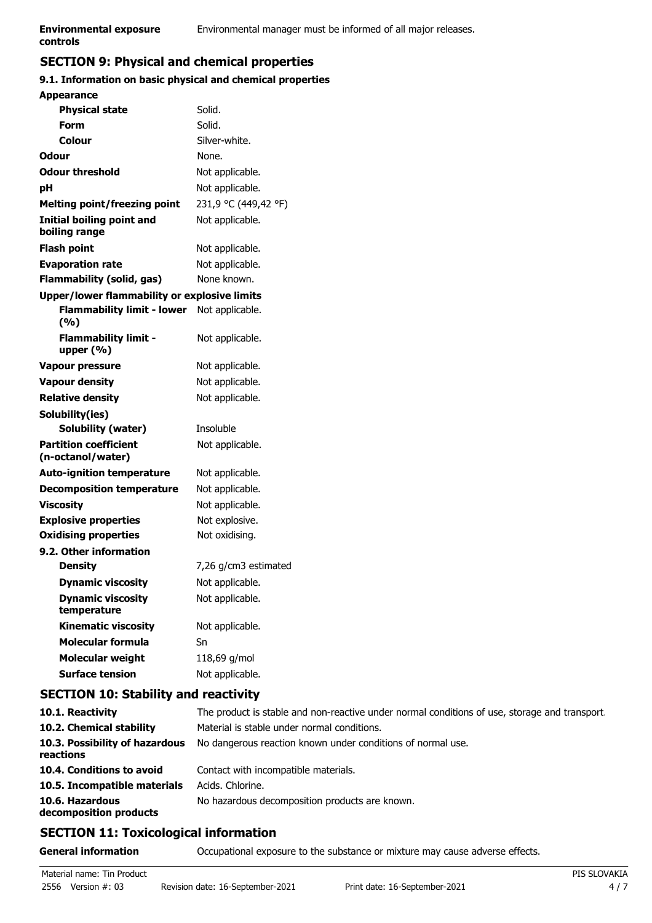# **SECTION 9: Physical and chemical properties**

# **9.1. Information on basic physical and chemical properties**

| <b>Appearance</b>                                 |                      |
|---------------------------------------------------|----------------------|
| <b>Physical state</b>                             | Solid.               |
| Form                                              | Solid.               |
| Colour                                            | Silver-white.        |
| Odour                                             | None.                |
| <b>Odour threshold</b>                            | Not applicable.      |
| pH                                                | Not applicable.      |
| <b>Melting point/freezing point</b>               | 231,9 °C (449,42 °F) |
| Initial boiling point and<br>boiling range        | Not applicable.      |
| <b>Flash point</b>                                | Not applicable.      |
| <b>Evaporation rate</b>                           | Not applicable.      |
| Flammability (solid, gas)                         | None known.          |
| Upper/lower flammability or explosive limits      |                      |
| <b>Flammability limit - lower</b><br>(%)          | Not applicable.      |
| <b>Flammability limit -</b><br>upper $(\% )$      | Not applicable.      |
| <b>Vapour pressure</b>                            | Not applicable.      |
| <b>Vapour density</b>                             | Not applicable.      |
| <b>Relative density</b>                           | Not applicable.      |
| Solubility(ies)                                   |                      |
| <b>Solubility (water)</b>                         | Insoluble            |
| <b>Partition coefficient</b><br>(n-octanol/water) | Not applicable.      |
| <b>Auto-ignition temperature</b>                  | Not applicable.      |
| <b>Decomposition temperature</b>                  | Not applicable.      |
| <b>Viscosity</b>                                  | Not applicable.      |
| <b>Explosive properties</b>                       | Not explosive.       |
| <b>Oxidising properties</b>                       | Not oxidising.       |
| 9.2. Other information                            |                      |
| <b>Density</b>                                    | 7,26 g/cm3 estimated |
| <b>Dynamic viscosity</b>                          | Not applicable.      |
| <b>Dynamic viscosity</b><br>temperature           | Not applicable.      |
| <b>Kinematic viscosity</b>                        | Not applicable.      |
| <b>Molecular formula</b>                          | Sn                   |
| Molecular weight                                  | 118,69 g/mol         |
| <b>Surface tension</b>                            | Not applicable.      |

# **SECTION 10: Stability and reactivity**

| 10.1. Reactivity                            | The product is stable and non-reactive under normal conditions of use, storage and transport |
|---------------------------------------------|----------------------------------------------------------------------------------------------|
| 10.2. Chemical stability                    | Material is stable under normal conditions.                                                  |
| 10.3. Possibility of hazardous<br>reactions | No dangerous reaction known under conditions of normal use.                                  |
| 10.4. Conditions to avoid                   | Contact with incompatible materials.                                                         |
| 10.5. Incompatible materials                | Acids. Chlorine.                                                                             |
| 10.6. Hazardous<br>decomposition products   | No hazardous decomposition products are known.                                               |

# **SECTION 11: Toxicological information**

**General information CCCUPATION** Occupational exposure to the substance or mixture may cause adverse effects.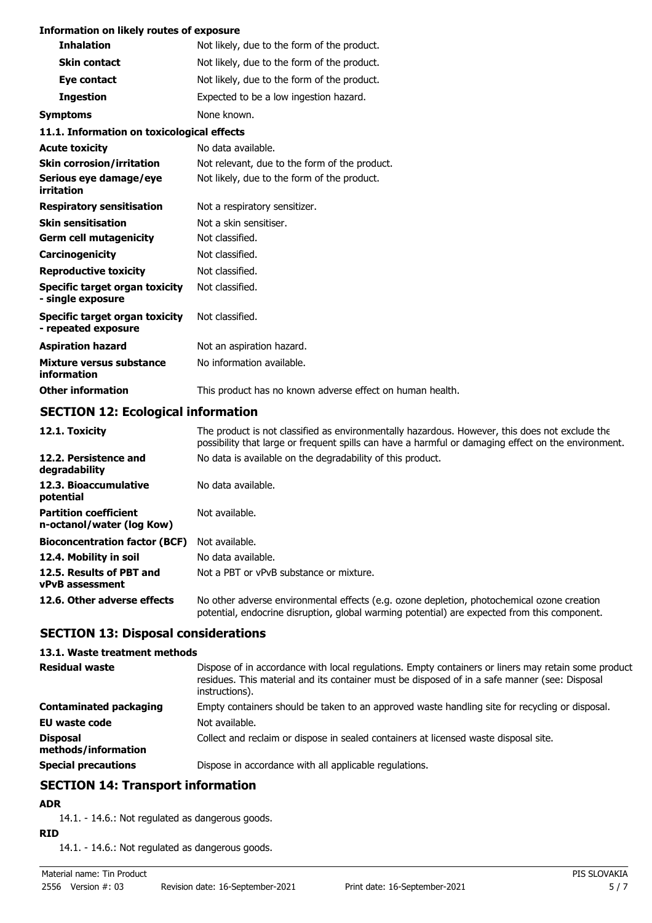### **Information on likely routes of exposure**

| <b>Inhalation</b>                                     | Not likely, due to the form of the product.               |
|-------------------------------------------------------|-----------------------------------------------------------|
| <b>Skin contact</b>                                   | Not likely, due to the form of the product.               |
| Eye contact                                           | Not likely, due to the form of the product.               |
| <b>Ingestion</b>                                      | Expected to be a low ingestion hazard.                    |
| <b>Symptoms</b>                                       | None known.                                               |
| 11.1. Information on toxicological effects            |                                                           |
| <b>Acute toxicity</b>                                 | No data available.                                        |
| <b>Skin corrosion/irritation</b>                      | Not relevant, due to the form of the product.             |
| Serious eye damage/eye<br>irritation                  | Not likely, due to the form of the product.               |
| <b>Respiratory sensitisation</b>                      | Not a respiratory sensitizer.                             |
| <b>Skin sensitisation</b>                             | Not a skin sensitiser.                                    |
| <b>Germ cell mutagenicity</b>                         | Not classified.                                           |
| Carcinogenicity                                       | Not classified.                                           |
| <b>Reproductive toxicity</b>                          | Not classified.                                           |
| Specific target organ toxicity<br>- single exposure   | Not classified.                                           |
| Specific target organ toxicity<br>- repeated exposure | Not classified.                                           |
| <b>Aspiration hazard</b>                              | Not an aspiration hazard.                                 |
| Mixture versus substance<br>information               | No information available.                                 |
| <b>Other information</b>                              | This product has no known adverse effect on human health. |

## **SECTION 12: Ecological information**

| 12.1. Toxicity                                            | The product is not classified as environmentally hazardous. However, this does not exclude the<br>possibility that large or frequent spills can have a harmful or damaging effect on the environment. |
|-----------------------------------------------------------|-------------------------------------------------------------------------------------------------------------------------------------------------------------------------------------------------------|
| 12.2. Persistence and<br>degradability                    | No data is available on the degradability of this product.                                                                                                                                            |
| 12.3. Bioaccumulative<br>potential                        | No data available.                                                                                                                                                                                    |
| <b>Partition coefficient</b><br>n-octanol/water (log Kow) | Not available.                                                                                                                                                                                        |
| <b>Bioconcentration factor (BCF)</b>                      | Not available.                                                                                                                                                                                        |
| 12.4. Mobility in soil                                    | No data available.                                                                                                                                                                                    |
| 12.5. Results of PBT and<br><b>vPvB</b> assessment        | Not a PBT or vPvB substance or mixture.                                                                                                                                                               |
| 12.6. Other adverse effects                               | No other adverse environmental effects (e.g. ozone depletion, photochemical ozone creation<br>potential, endocrine disruption, global warming potential) are expected from this component.            |

# **SECTION 13: Disposal considerations**

### **13.1. Waste treatment methods**

| <b>Residual waste</b>                  | Dispose of in accordance with local regulations. Empty containers or liners may retain some product<br>residues. This material and its container must be disposed of in a safe manner (see: Disposal<br>instructions). |
|----------------------------------------|------------------------------------------------------------------------------------------------------------------------------------------------------------------------------------------------------------------------|
| <b>Contaminated packaging</b>          | Empty containers should be taken to an approved waste handling site for recycling or disposal.                                                                                                                         |
| <b>EU waste code</b>                   | Not available.                                                                                                                                                                                                         |
| <b>Disposal</b><br>methods/information | Collect and reclaim or dispose in sealed containers at licensed waste disposal site.                                                                                                                                   |
| <b>Special precautions</b>             | Dispose in accordance with all applicable regulations.                                                                                                                                                                 |

## **SECTION 14: Transport information**

# **ADR**

14.1. - 14.6.: Not regulated as dangerous goods.

## **RID**

14.1. - 14.6.: Not regulated as dangerous goods.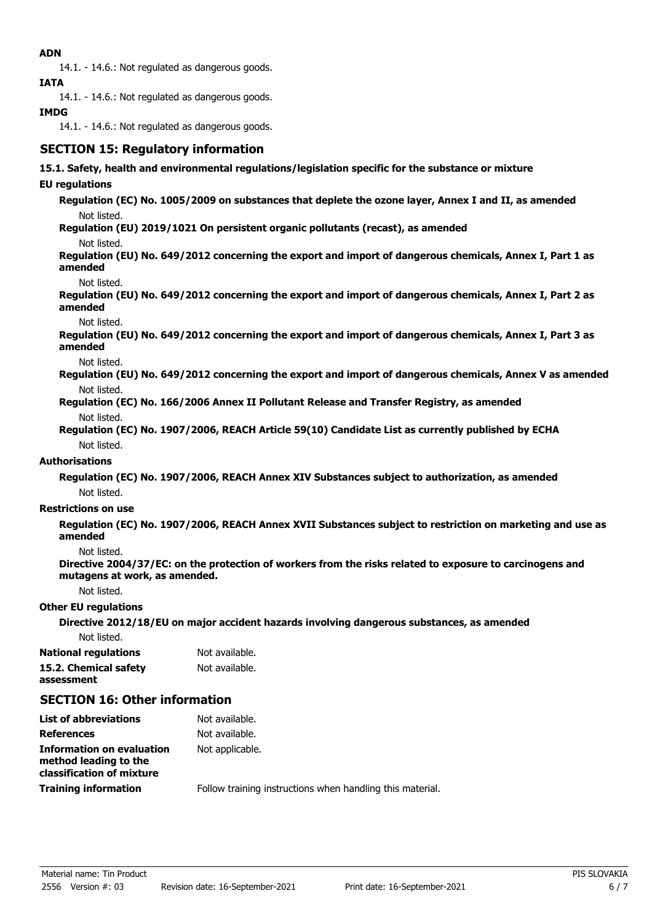## **ADN**

14.1. - 14.6.: Not regulated as dangerous goods.

**IATA**

14.1. - 14.6.: Not regulated as dangerous goods.

## **IMDG**

14.1. - 14.6.: Not regulated as dangerous goods.

# **SECTION 15: Regulatory information**

## **15.1. Safety, health and environmental regulations/legislation specific for the substance or mixture**

## **EU regulations**

**Regulation (EC) No. 1005/2009 on substances that deplete the ozone layer, Annex I and II, as amended** Not listed.

**Regulation (EU) 2019/1021 On persistent organic pollutants (recast), as amended**

Not listed.

**Regulation (EU) No. 649/2012 concerning the export and import of dangerous chemicals, Annex I, Part 1 as amended**

Not listed.

**Regulation (EU) No. 649/2012 concerning the export and import of dangerous chemicals, Annex I, Part 2 as amended**

Not listed.

**Regulation (EU) No. 649/2012 concerning the export and import of dangerous chemicals, Annex I, Part 3 as amended**

Not listed.

**Regulation (EU) No. 649/2012 concerning the export and import of dangerous chemicals, Annex V as amended** Not listed.

**Regulation (EC) No. 166/2006 Annex II Pollutant Release and Transfer Registry, as amended** Not listed.

**Regulation (EC) No. 1907/2006, REACH Article 59(10) Candidate List as currently published by ECHA** Not listed.

## **Authorisations**

**Regulation (EC) No. 1907/2006, REACH Annex XIV Substances subject to authorization, as amended** Not listed.

### **Restrictions on use**

**Regulation (EC) No. 1907/2006, REACH Annex XVII Substances subject to restriction on marketing and use as amended**

Not listed.

**Directive 2004/37/EC: on the protection of workers from the risks related to exposure to carcinogens and mutagens at work, as amended.**

Not listed.

### **Other EU regulations**

**Directive 2012/18/EU on major accident hazards involving dangerous substances, as amended**

Not listed.

**National regulations** Not available. **15.2. Chemical safety** Not available. **assessment**

# **SECTION 16: Other information**

| Follow training instructions when handling this material. |
|-----------------------------------------------------------|
|                                                           |